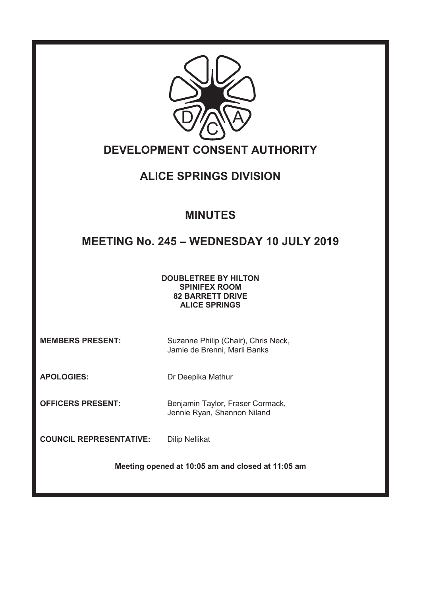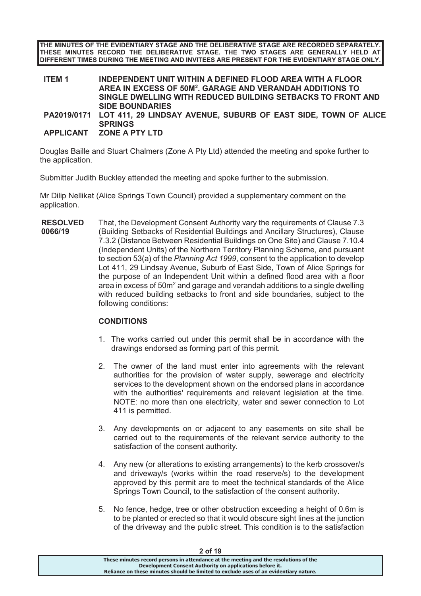**THE MINUTES OF THE EVIDENTIARY STAGE AND THE DELIBERATIVE STAGE ARE RECORDED SEPARATELY. THESE MINUTES RECORD THE DELIBERATIVE STAGE. THE TWO STAGES ARE GENERALLY HELD AT DIFFERENT TIMES DURING THE MEETING AND INVITEES ARE PRESENT FOR THE EVIDENTIARY STAGE ONLY.** 

| <b>ITEM 1</b> | INDEPENDENT UNIT WITHIN A DEFINED FLOOD AREA WITH A FLOOR                      |
|---------------|--------------------------------------------------------------------------------|
|               | AREA IN EXCESS OF 50M <sup>2</sup> . GARAGE AND VERANDAH ADDITIONS TO          |
|               | SINGLE DWELLING WITH REDUCED BUILDING SETBACKS TO FRONT AND                    |
|               | <b>SIDE BOUNDARIES</b>                                                         |
|               | <b>DA2040/0474 LOT 444 20 LINDOAV AVENHE CHRIDD OF EACT CIDE TOWN OF ALICE</b> |

**PA2019/0171 LOT 411, 29 LINDSAY AVENUE, SUBURB OF EAST SIDE, TOWN OF ALICE SPRINGS** 

## **APPLICANT ZONE A PTY LTD**

Douglas Baille and Stuart Chalmers (Zone A Pty Ltd) attended the meeting and spoke further to the application.

Submitter Judith Buckley attended the meeting and spoke further to the submission.

Mr Dilip Nellikat (Alice Springs Town Council) provided a supplementary comment on the application.

**RESOLVED 0066/19**  That, the Development Consent Authority vary the requirements of Clause 7.3 (Building Setbacks of Residential Buildings and Ancillary Structures), Clause 7.3.2 (Distance Between Residential Buildings on One Site) and Clause 7.10.4 (Independent Units) of the Northern Territory Planning Scheme, and pursuant to section 53(a) of the *Planning Act 1999*, consent to the application to develop Lot 411, 29 Lindsay Avenue, Suburb of East Side, Town of Alice Springs for the purpose of an Independent Unit within a defined flood area with a floor area in excess of 50m $^{\rm 2}$  and garage and verandah additions to a single dwelling with reduced building setbacks to front and side boundaries, subject to the following conditions:

# **CONDITIONS**

- 1. The works carried out under this permit shall be in accordance with the drawings endorsed as forming part of this permit.
- 2. The owner of the land must enter into agreements with the relevant authorities for the provision of water supply, sewerage and electricity services to the development shown on the endorsed plans in accordance with the authorities' requirements and relevant legislation at the time. NOTE: no more than one electricity, water and sewer connection to Lot 411 is permitted.
- 3. Any developments on or adjacent to any easements on site shall be carried out to the requirements of the relevant service authority to the satisfaction of the consent authority.
- 4. Any new (or alterations to existing arrangements) to the kerb crossover/s and driveway/s (works within the road reserve/s) to the development approved by this permit are to meet the technical standards of the Alice Springs Town Council, to the satisfaction of the consent authority.
- 5. No fence, hedge, tree or other obstruction exceeding a height of 0.6m is to be planted or erected so that it would obscure sight lines at the junction of the driveway and the public street. This condition is to the satisfaction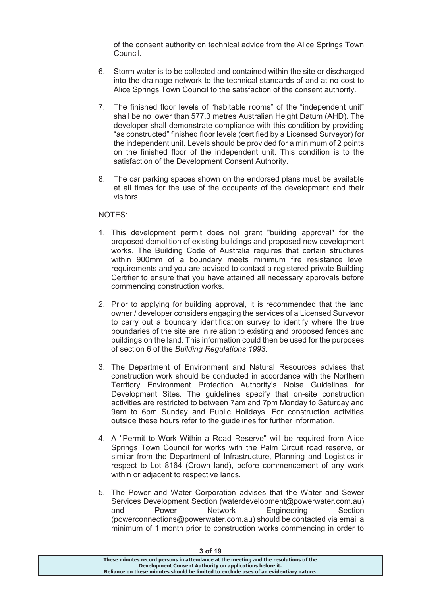of the consent authority on technical advice from the Alice Springs Town Council.

- 6. Storm water is to be collected and contained within the site or discharged into the drainage network to the technical standards of and at no cost to Alice Springs Town Council to the satisfaction of the consent authority.
- 7. The finished floor levels of "habitable rooms" of the "independent unit" shall be no lower than 577.3 metres Australian Height Datum (AHD). The developer shall demonstrate compliance with this condition by providing "as constructed" finished floor levels (certified by a Licensed Surveyor) for the independent unit. Levels should be provided for a minimum of 2 points on the finished floor of the independent unit. This condition is to the satisfaction of the Development Consent Authority.
- 8. The car parking spaces shown on the endorsed plans must be available at all times for the use of the occupants of the development and their visitors.

### NOTES:

- 1. This development permit does not grant "building approval" for the proposed demolition of existing buildings and proposed new development works. The Building Code of Australia requires that certain structures within 900mm of a boundary meets minimum fire resistance level requirements and you are advised to contact a registered private Building Certifier to ensure that you have attained all necessary approvals before commencing construction works.
- 2. Prior to applying for building approval, it is recommended that the land owner / developer considers engaging the services of a Licensed Surveyor to carry out a boundary identification survey to identify where the true boundaries of the site are in relation to existing and proposed fences and buildings on the land. This information could then be used for the purposes of section 6 of the *Building Regulations 1993*.
- 3. The Department of Environment and Natural Resources advises that construction work should be conducted in accordance with the Northern Territory Environment Protection Authority's Noise Guidelines for Development Sites. The guidelines specify that on-site construction activities are restricted to between 7am and 7pm Monday to Saturday and 9am to 6pm Sunday and Public Holidays. For construction activities outside these hours refer to the guidelines for further information.
- 4. A "Permit to Work Within a Road Reserve" will be required from Alice Springs Town Council for works with the Palm Circuit road reserve, or similar from the Department of Infrastructure, Planning and Logistics in respect to Lot 8164 (Crown land), before commencement of any work within or adjacent to respective lands.
- 5. The Power and Water Corporation advises that the Water and Sewer Services Development Section (waterdevelopment@powerwater.com.au) and Power Network Engineering Section (powerconnections@powerwater.com.au) should be contacted via email a minimum of 1 month prior to construction works commencing in order to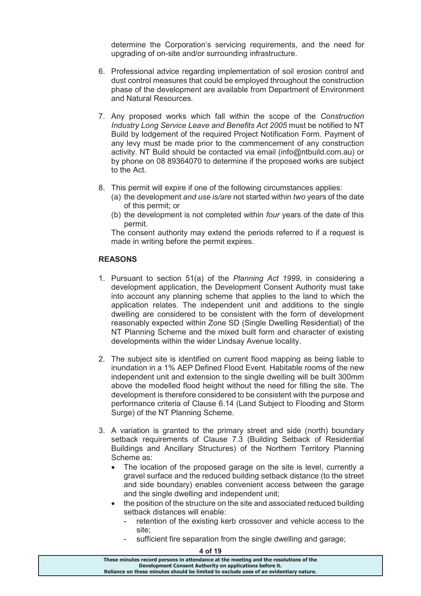determine the Corporation's servicing requirements, and the need for upgrading of on-site and/or surrounding infrastructure.

- 6. Professional advice regarding implementation of soil erosion control and dust control measures that could be employed throughout the construction phase of the development are available from Department of Environment and Natural Resources.
- 7. Any proposed works which fall within the scope of the *Construction Industry Long Service Leave and Benefits Act 2005* must be notified to NT Build by lodgement of the required Project Notification Form. Payment of any levy must be made prior to the commencement of any construction activity. NT Build should be contacted via email (info@ntbuild.com.au) or by phone on 08 89364070 to determine if the proposed works are subject to the Act.
- 8. This permit will expire if one of the following circumstances applies:
	- (a) the development *and use is/are* not started within *two* years of the date of this permit; or
	- (b) the development is not completed within *four* years of the date of this permit.

The consent authority may extend the periods referred to if a request is made in writing before the permit expires.

## **REASONS**

- 1. Pursuant to section 51(a) of the *Planning Act 1999*, in considering a development application, the Development Consent Authority must take into account any planning scheme that applies to the land to which the application relates. The independent unit and additions to the single dwelling are considered to be consistent with the form of development reasonably expected within Zone SD (Single Dwelling Residential) of the NT Planning Scheme and the mixed built form and character of existing developments within the wider Lindsay Avenue locality.
- 2. The subject site is identified on current flood mapping as being liable to inundation in a 1% AEP Defined Flood Event. Habitable rooms of the new independent unit and extension to the single dwelling will be built 300mm above the modelled flood height without the need for filling the site. The development is therefore considered to be consistent with the purpose and performance criteria of Clause 6.14 (Land Subject to Flooding and Storm Surge) of the NT Planning Scheme.
- 3. A variation is granted to the primary street and side (north) boundary setback requirements of Clause 7.3 (Building Setback of Residential Buildings and Ancillary Structures) of the Northern Territory Planning Scheme as:
	- · The location of the proposed garage on the site is level, currently a gravel surface and the reduced building setback distance (to the street and side boundary) enables convenient access between the garage and the single dwelling and independent unit;
	- the position of the structure on the site and associated reduced building setback distances will enable:
		- retention of the existing kerb crossover and vehicle access to the site;
		- sufficient fire separation from the single dwelling and garage;

| 4 of 19                                                                                                                                                                                                                                   |  |
|-------------------------------------------------------------------------------------------------------------------------------------------------------------------------------------------------------------------------------------------|--|
| These minutes record persons in attendance at the meeting and the resolutions of the<br>Development Consent Authority on applications before it.<br>Reliance on these minutes should be limited to exclude uses of an evidentiary nature. |  |
|                                                                                                                                                                                                                                           |  |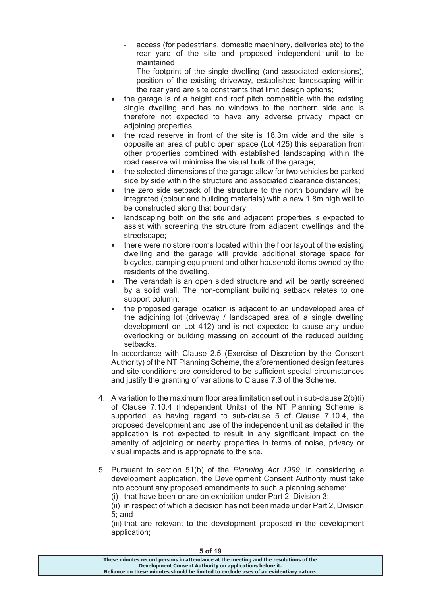- access (for pedestrians, domestic machinery, deliveries etc) to the rear yard of the site and proposed independent unit to be maintained
- The footprint of the single dwelling (and associated extensions), position of the existing driveway, established landscaping within the rear yard are site constraints that limit design options;
- · the garage is of a height and roof pitch compatible with the existing single dwelling and has no windows to the northern side and is therefore not expected to have any adverse privacy impact on adjoining properties;
- the road reserve in front of the site is 18.3m wide and the site is opposite an area of public open space (Lot 425) this separation from other properties combined with established landscaping within the road reserve will minimise the visual bulk of the garage;
- the selected dimensions of the garage allow for two vehicles be parked side by side within the structure and associated clearance distances;
- the zero side setback of the structure to the north boundary will be integrated (colour and building materials) with a new 1.8m high wall to be constructed along that boundary;
- landscaping both on the site and adjacent properties is expected to assist with screening the structure from adjacent dwellings and the streetscape;
- there were no store rooms located within the floor layout of the existing dwelling and the garage will provide additional storage space for bicycles, camping equipment and other household items owned by the residents of the dwelling.
- The verandah is an open sided structure and will be partly screened by a solid wall. The non-compliant building setback relates to one support column;
- the proposed garage location is adjacent to an undeveloped area of the adjoining lot (driveway / landscaped area of a single dwelling development on Lot 412) and is not expected to cause any undue overlooking or building massing on account of the reduced building setbacks.

In accordance with Clause 2.5 (Exercise of Discretion by the Consent Authority) of the NT Planning Scheme, the aforementioned design features and site conditions are considered to be sufficient special circumstances and justify the granting of variations to Clause 7.3 of the Scheme.

- 4. A variation to the maximum floor area limitation set out in sub-clause 2(b)(i) of Clause 7.10.4 (Independent Units) of the NT Planning Scheme is supported, as having regard to sub-clause 5 of Clause 7.10.4, the proposed development and use of the independent unit as detailed in the application is not expected to result in any significant impact on the amenity of adjoining or nearby properties in terms of noise, privacy or visual impacts and is appropriate to the site.
- 5. Pursuant to section 51(b) of the *Planning Act 1999*, in considering a development application, the Development Consent Authority must take into account any proposed amendments to such a planning scheme:

(i) that have been or are on exhibition under Part 2, Division 3;

(ii) in respect of which a decision has not been made under Part 2, Division 5; and

(iii) that are relevant to the development proposed in the development application;

| 501 IS                                                                                |  |
|---------------------------------------------------------------------------------------|--|
| These minutes record persons in attendance at the meeting and the resolutions of the  |  |
| Development Consent Authority on applications before it.                              |  |
| Reliance on these minutes should be limited to exclude uses of an evidentiary nature. |  |
|                                                                                       |  |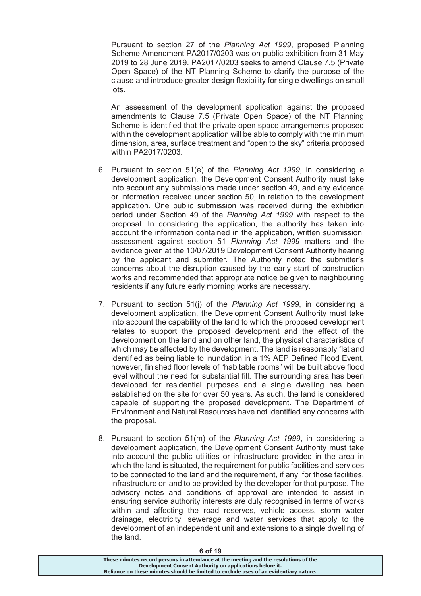Pursuant to section 27 of the *Planning Act 1999*, proposed Planning Scheme Amendment PA2017/0203 was on public exhibition from 31 May 2019 to 28 June 2019. PA2017/0203 seeks to amend Clause 7.5 (Private Open Space) of the NT Planning Scheme to clarify the purpose of the clause and introduce greater design flexibility for single dwellings on small lots.

An assessment of the development application against the proposed amendments to Clause 7.5 (Private Open Space) of the NT Planning Scheme is identified that the private open space arrangements proposed within the development application will be able to comply with the minimum dimension, area, surface treatment and "open to the sky" criteria proposed within PA2017/0203.

- 6. Pursuant to section 51(e) of the *Planning Act 1999*, in considering a development application, the Development Consent Authority must take into account any submissions made under section 49, and any evidence or information received under section 50, in relation to the development application. One public submission was received during the exhibition period under Section 49 of the *Planning Act 1999* with respect to the proposal. In considering the application, the authority has taken into account the information contained in the application, written submission, assessment against section 51 *Planning Act 1999* matters and the evidence given at the 10/07/2019 Development Consent Authority hearing by the applicant and submitter. The Authority noted the submitter's concerns about the disruption caused by the early start of construction works and recommended that appropriate notice be given to neighbouring residents if any future early morning works are necessary.
- 7. Pursuant to section 51(j) of the *Planning Act 1999*, in considering a development application, the Development Consent Authority must take into account the capability of the land to which the proposed development relates to support the proposed development and the effect of the development on the land and on other land, the physical characteristics of which may be affected by the development. The land is reasonably flat and identified as being liable to inundation in a 1% AEP Defined Flood Event, however, finished floor levels of "habitable rooms" will be built above flood level without the need for substantial fill. The surrounding area has been developed for residential purposes and a single dwelling has been established on the site for over 50 years. As such, the land is considered capable of supporting the proposed development. The Department of Environment and Natural Resources have not identified any concerns with the proposal.
- 8. Pursuant to section 51(m) of the *Planning Act 1999*, in considering a development application, the Development Consent Authority must take into account the public utilities or infrastructure provided in the area in which the land is situated, the requirement for public facilities and services to be connected to the land and the requirement, if any, for those facilities, infrastructure or land to be provided by the developer for that purpose. The advisory notes and conditions of approval are intended to assist in ensuring service authority interests are duly recognised in terms of works within and affecting the road reserves, vehicle access, storm water drainage, electricity, sewerage and water services that apply to the development of an independent unit and extensions to a single dwelling of the land.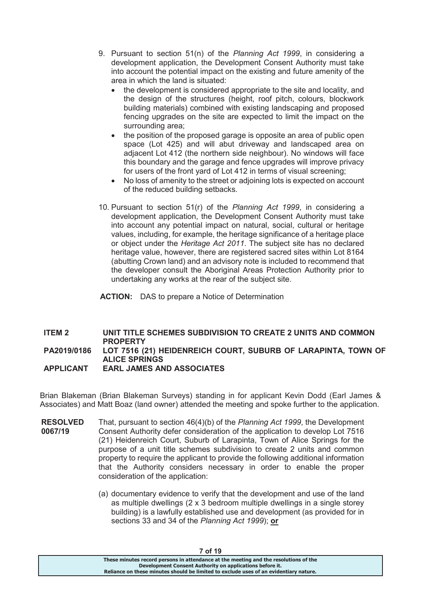- 9. Pursuant to section 51(n) of the *Planning Act 1999*, in considering a development application, the Development Consent Authority must take into account the potential impact on the existing and future amenity of the area in which the land is situated:
	- the development is considered appropriate to the site and locality, and the design of the structures (height, roof pitch, colours, blockwork building materials) combined with existing landscaping and proposed fencing upgrades on the site are expected to limit the impact on the surrounding area;
	- the position of the proposed garage is opposite an area of public open space (Lot 425) and will abut driveway and landscaped area on adjacent Lot 412 (the northern side neighbour). No windows will face this boundary and the garage and fence upgrades will improve privacy for users of the front yard of Lot 412 in terms of visual screening;
	- No loss of amenity to the street or adjoining lots is expected on account of the reduced building setbacks.
- 10. Pursuant to section 51(r) of the *Planning Act 1999*, in considering a development application, the Development Consent Authority must take into account any potential impact on natural, social, cultural or heritage values, including, for example, the heritage significance of a heritage place or object under the *Heritage Act 2011*. The subject site has no declared heritage value, however, there are registered sacred sites within Lot 8164 (abutting Crown land) and an advisory note is included to recommend that the developer consult the Aboriginal Areas Protection Authority prior to undertaking any works at the rear of the subject site.
- **ACTION:** DAS to prepare a Notice of Determination

## **ITEM 2 UNIT TITLE SCHEMES SUBDIVISION TO CREATE 2 UNITS AND COMMON PROPERTY PA2019/0186 LOT 7516 (21) HEIDENREICH COURT, SUBURB OF LARAPINTA, TOWN OF ALICE SPRINGS APPLICANT EARL JAMES AND ASSOCIATES**

Brian Blakeman (Brian Blakeman Surveys) standing in for applicant Kevin Dodd (Earl James & Associates) and Matt Boaz (land owner) attended the meeting and spoke further to the application.

- **RESOLVED 0067/19**  That, pursuant to section 46(4)(b) of the *Planning Act 1999*, the Development Consent Authority defer consideration of the application to develop Lot 7516 (21) Heidenreich Court, Suburb of Larapinta, Town of Alice Springs for the purpose of a unit title schemes subdivision to create 2 units and common property to require the applicant to provide the following additional information that the Authority considers necessary in order to enable the proper consideration of the application:
	- (a) documentary evidence to verify that the development and use of the land as multiple dwellings (2 x 3 bedroom multiple dwellings in a single storey building) is a lawfully established use and development (as provided for in sections 33 and 34 of the *Planning Act 1999*); **or**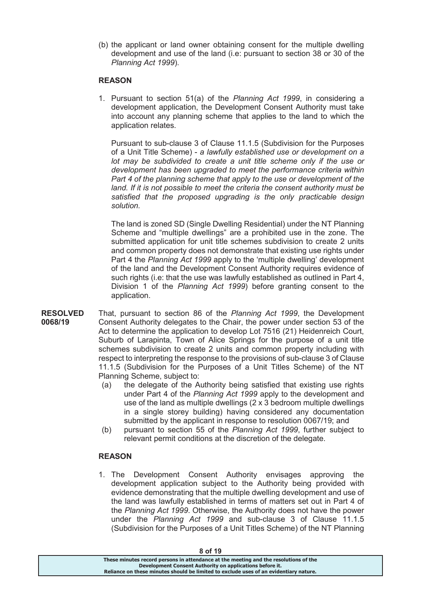(b) the applicant or land owner obtaining consent for the multiple dwelling development and use of the land (i.e: pursuant to section 38 or 30 of the *Planning Act 1999*).

### **REASON**

1. Pursuant to section 51(a) of the *Planning Act 1999*, in considering a development application, the Development Consent Authority must take into account any planning scheme that applies to the land to which the application relates.

Pursuant to sub-clause 3 of Clause 11.1.5 (Subdivision for the Purposes of a Unit Title Scheme) - *a lawfully established use or development on a lot may be subdivided to create a unit title scheme only if the use or development has been upgraded to meet the performance criteria within Part 4 of the planning scheme that apply to the use or development of the land. If it is not possible to meet the criteria the consent authority must be satisfied that the proposed upgrading is the only practicable design solution.*

The land is zoned SD (Single Dwelling Residential) under the NT Planning Scheme and "multiple dwellings" are a prohibited use in the zone. The submitted application for unit title schemes subdivision to create 2 units and common property does not demonstrate that existing use rights under Part 4 the *Planning Act 1999* apply to the 'multiple dwelling' development of the land and the Development Consent Authority requires evidence of such rights (i.e: that the use was lawfully established as outlined in Part 4, Division 1 of the *Planning Act 1999*) before granting consent to the application.

- **RESOLVED 0068/19**  That, pursuant to section 86 of the *Planning Act 1999*, the Development Consent Authority delegates to the Chair, the power under section 53 of the Act to determine the application to develop Lot 7516 (21) Heidenreich Court, Suburb of Larapinta, Town of Alice Springs for the purpose of a unit title schemes subdivision to create 2 units and common property including with respect to interpreting the response to the provisions of sub-clause 3 of Clause 11.1.5 (Subdivision for the Purposes of a Unit Titles Scheme) of the NT Planning Scheme, subject to:
	- (a) the delegate of the Authority being satisfied that existing use rights under Part 4 of the *Planning Act 1999* apply to the development and use of the land as multiple dwellings (2 x 3 bedroom multiple dwellings in a single storey building) having considered any documentation submitted by the applicant in response to resolution 0067/19; and
	- (b) pursuant to section 55 of the *Planning Act 1999*, further subject to relevant permit conditions at the discretion of the delegate.

## **REASON**

1. The Development Consent Authority envisages approving the development application subject to the Authority being provided with evidence demonstrating that the multiple dwelling development and use of the land was lawfully established in terms of matters set out in Part 4 of the *Planning Act 1999*. Otherwise, the Authority does not have the power under the *Planning Act 1999* and sub-clause 3 of Clause 11.1.5 (Subdivision for the Purposes of a Unit Titles Scheme) of the NT Planning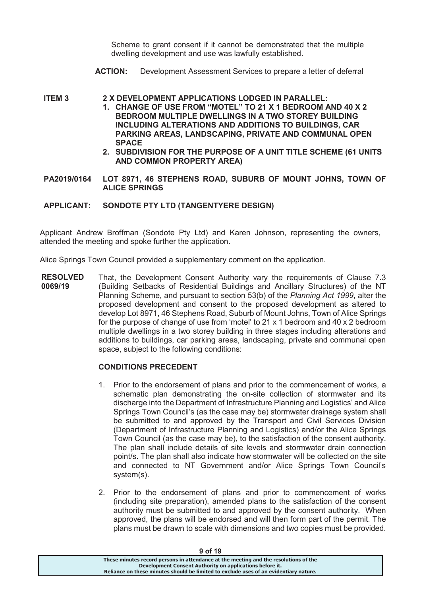Scheme to grant consent if it cannot be demonstrated that the multiple dwelling development and use was lawfully established.

- **ACTION:** Development Assessment Services to prepare a letter of deferral
- **ITEM 3 2 X DEVELOPMENT APPLICATIONS LODGED IN PARALLEL:** 
	- **1. CHANGE OF USE FROM "MOTEL" TO 21 X 1 BEDROOM AND 40 X 2 BEDROOM MULTIPLE DWELLINGS IN A TWO STOREY BUILDING INCLUDING ALTERATIONS AND ADDITIONS TO BUILDINGS, CAR PARKING AREAS, LANDSCAPING, PRIVATE AND COMMUNAL OPEN SPACE**
	- **2. SUBDIVISION FOR THE PURPOSE OF A UNIT TITLE SCHEME (61 UNITS AND COMMON PROPERTY AREA)**
- **PA2019/0164 LOT 8971, 46 STEPHENS ROAD, SUBURB OF MOUNT JOHNS, TOWN OF ALICE SPRINGS**

### **APPLICANT: SONDOTE PTY LTD (TANGENTYERE DESIGN)**

Applicant Andrew Broffman (Sondote Pty Ltd) and Karen Johnson, representing the owners, attended the meeting and spoke further the application.

Alice Springs Town Council provided a supplementary comment on the application.

**RESOLVED 0069/19**  That, the Development Consent Authority vary the requirements of Clause 7.3 (Building Setbacks of Residential Buildings and Ancillary Structures) of the NT Planning Scheme, and pursuant to section 53(b) of the *Planning Act 1999*, alter the proposed development and consent to the proposed development as altered to develop Lot 8971, 46 Stephens Road, Suburb of Mount Johns, Town of Alice Springs for the purpose of change of use from 'motel' to 21  $\times$  1 bedroom and 40  $\times$  2 bedroom multiple dwellings in a two storey building in three stages including alterations and additions to buildings, car parking areas, landscaping, private and communal open space, subject to the following conditions:

## **CONDITIONS PRECEDENT**

- 1. Prior to the endorsement of plans and prior to the commencement of works, a schematic plan demonstrating the on-site collection of stormwater and its discharge into the Department of Infrastructure Planning and Logistics' and Alice Springs Town Council's (as the case may be) stormwater drainage system shall be submitted to and approved by the Transport and Civil Services Division (Department of Infrastructure Planning and Logistics) and/or the Alice Springs Town Council (as the case may be), to the satisfaction of the consent authority. The plan shall include details of site levels and stormwater drain connection point/s. The plan shall also indicate how stormwater will be collected on the site and connected to NT Government and/or Alice Springs Town Council's system(s).
- 2. Prior to the endorsement of plans and prior to commencement of works (including site preparation), amended plans to the satisfaction of the consent authority must be submitted to and approved by the consent authority. When approved, the plans will be endorsed and will then form part of the permit. The plans must be drawn to scale with dimensions and two copies must be provided.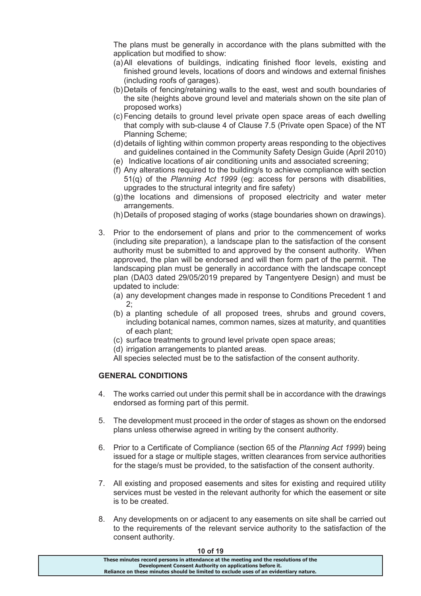The plans must be generally in accordance with the plans submitted with the application but modified to show:

- (a) All elevations of buildings, indicating finished floor levels, existing and finished ground levels, locations of doors and windows and external finishes (including roofs of garages).
- (b) Details of fencing/retaining walls to the east, west and south boundaries of the site (heights above ground level and materials shown on the site plan of proposed works)
- (c) Fencing details to ground level private open space areas of each dwelling that comply with sub-clause 4 of Clause 7.5 (Private open Space) of the NT Planning Scheme;
- (d) details of lighting within common property areas responding to the objectives and guidelines contained in the Community Safety Design Guide (April 2010)
- (e) Indicative locations of air conditioning units and associated screening;
- (f) Any alterations required to the building/s to achieve compliance with section 51(q) of the *Planning Act 1999* (eg: access for persons with disabilities, upgrades to the structural integrity and fire safety)
- (g) the locations and dimensions of proposed electricity and water meter arrangements.
- (h) Details of proposed staging of works (stage boundaries shown on drawings).
- 3. Prior to the endorsement of plans and prior to the commencement of works (including site preparation), a landscape plan to the satisfaction of the consent authority must be submitted to and approved by the consent authority. When approved, the plan will be endorsed and will then form part of the permit. The landscaping plan must be generally in accordance with the landscape concept plan (DA03 dated 29/05/2019 prepared by Tangentyere Design) and must be updated to include:
	- (a) any development changes made in response to Conditions Precedent 1 and 2;
	- (b) a planting schedule of all proposed trees, shrubs and ground covers, including botanical names, common names, sizes at maturity, and quantities of each plant;
	- (c) surface treatments to ground level private open space areas;
	- (d) irrigation arrangements to planted areas.
	- All species selected must be to the satisfaction of the consent authority.

# **GENERAL CONDITIONS**

- 4. The works carried out under this permit shall be in accordance with the drawings endorsed as forming part of this permit.
- 5. The development must proceed in the order of stages as shown on the endorsed plans unless otherwise agreed in writing by the consent authority.
- 6. Prior to a Certificate of Compliance (section 65 of the *Planning Act 1999*) being issued for a stage or multiple stages, written clearances from service authorities for the stage/s must be provided, to the satisfaction of the consent authority.
- 7. All existing and proposed easements and sites for existing and required utility services must be vested in the relevant authority for which the easement or site is to be created.
- 8. Any developments on or adjacent to any easements on site shall be carried out to the requirements of the relevant service authority to the satisfaction of the consent authority.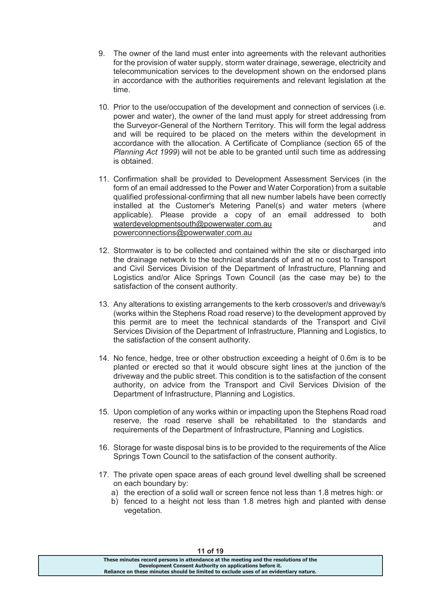- 9. The owner of the land must enter into agreements with the relevant authorities for the provision of water supply, storm water drainage, sewerage, electricity and telecommunication services to the development shown on the endorsed plans in accordance with the authorities requirements and relevant legislation at the time.
- 10. Prior to the use/occupation of the development and connection of services (i.e. power and water), the owner of the land must apply for street addressing from the Surveyor-General of the Northern Territory. This will form the legal address and will be required to be placed on the meters within the development in accordance with the allocation. A Certificate of Compliance (section 65 of the *Planning Act 1999*) will not be able to be granted until such time as addressing is obtained.
- 11. Confirmation shall be provided to Development Assessment Services (in the form of an email addressed to the Power and Water Corporation) from a suitable qualified professional-confirming that all new number labels have been correctly installed at the Customer's Metering Panel(s) and water meters (where applicable). Please provide a copy of an email addressed to both waterdevelopmentsouth@powerwater.com.au bottom and and powerconnections@powerwater.com.au
- 12. Stormwater is to be collected and contained within the site or discharged into the drainage network to the technical standards of and at no cost to Transport and Civil Services Division of the Department of Infrastructure, Planning and Logistics and/or Alice Springs Town Council (as the case may be) to the satisfaction of the consent authority.
- 13. Any alterations to existing arrangements to the kerb crossover/s and driveway/s (works within the Stephens Road road reserve) to the development approved by this permit are to meet the technical standards of the Transport and Civil Services Division of the Department of Infrastructure, Planning and Logistics, to the satisfaction of the consent authority.
- 14. No fence, hedge, tree or other obstruction exceeding a height of 0.6m is to be planted or erected so that it would obscure sight lines at the junction of the driveway and the public street. This condition is to the satisfaction of the consent authority, on advice from the Transport and Civil Services Division of the Department of Infrastructure, Planning and Logistics.
- 15. Upon completion of any works within or impacting upon the Stephens Road road reserve, the road reserve shall be rehabilitated to the standards and requirements of the Department of Infrastructure, Planning and Logistics.
- 16. Storage for waste disposal bins is to be provided to the requirements of the Alice Springs Town Council to the satisfaction of the consent authority.
- 17. The private open space areas of each ground level dwelling shall be screened on each boundary by:
	- a) the erection of a solid wall or screen fence not less than 1.8 metres high: or
	- b) fenced to a height not less than 1.8 metres high and planted with dense vegetation.

| 11 UI 13                                                                              |  |
|---------------------------------------------------------------------------------------|--|
| These minutes record persons in attendance at the meeting and the resolutions of the  |  |
| Development Consent Authority on applications before it.                              |  |
| Reliance on these minutes should be limited to exclude uses of an evidentiary nature. |  |
|                                                                                       |  |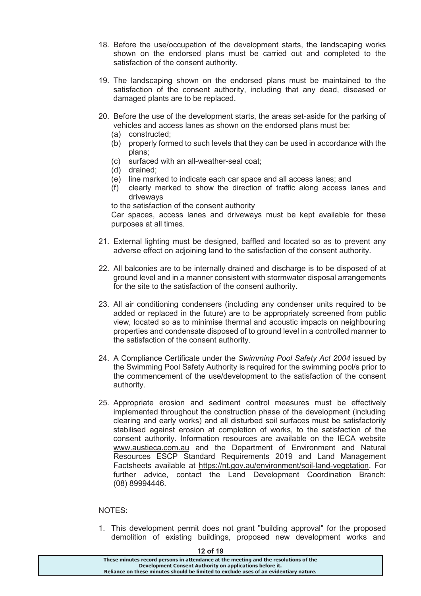- 18. Before the use/occupation of the development starts, the landscaping works shown on the endorsed plans must be carried out and completed to the satisfaction of the consent authority.
- 19. The landscaping shown on the endorsed plans must be maintained to the satisfaction of the consent authority, including that any dead, diseased or damaged plants are to be replaced.
- 20. Before the use of the development starts, the areas set-aside for the parking of vehicles and access lanes as shown on the endorsed plans must be:
	- (a) constructed;
	- (b) properly formed to such levels that they can be used in accordance with the plans;
	- (c) surfaced with an all-weather-seal coat;
	- (d) drained;
	- (e) line marked to indicate each car space and all access lanes; and
	- (f) clearly marked to show the direction of traffic along access lanes and driveways

to the satisfaction of the consent authority

Car spaces, access lanes and driveways must be kept available for these purposes at all times.

- 21. External lighting must be designed, baffled and located so as to prevent any adverse effect on adjoining land to the satisfaction of the consent authority.
- 22. All balconies are to be internally drained and discharge is to be disposed of at ground level and in a manner consistent with stormwater disposal arrangements for the site to the satisfaction of the consent authority.
- 23. All air conditioning condensers (including any condenser units required to be added or replaced in the future) are to be appropriately screened from public view, located so as to minimise thermal and acoustic impacts on neighbouring properties and condensate disposed of to ground level in a controlled manner to the satisfaction of the consent authority.
- 24. A Compliance Certificate under the *Swimming Pool Safety Act 2004* issued by the Swimming Pool Safety Authority is required for the swimming pool/s prior to the commencement of the use/development to the satisfaction of the consent authority.
- 25. Appropriate erosion and sediment control measures must be effectively implemented throughout the construction phase of the development (including clearing and early works) and all disturbed soil surfaces must be satisfactorily stabilised against erosion at completion of works, to the satisfaction of the consent authority. Information resources are available on the IECA website www.austieca.com.au and the Department of Environment and Natural Resources ESCP Standard Requirements 2019 and Land Management Factsheets available at https://nt.gov.au/environment/soil-land-vegetation. For further advice, contact the Land Development Coordination Branch: (08) 89994446.

## NOTES:

1. This development permit does not grant "building approval" for the proposed demolition of existing buildings, proposed new development works and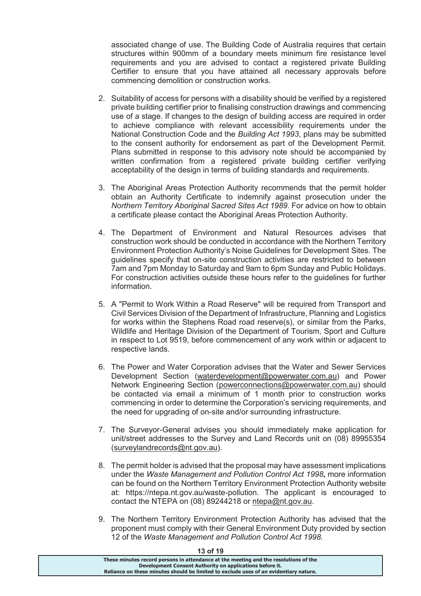associated change of use. The Building Code of Australia requires that certain structures within 900mm of a boundary meets minimum fire resistance level requirements and you are advised to contact a registered private Building Certifier to ensure that you have attained all necessary approvals before commencing demolition or construction works.

- 2. Suitability of access for persons with a disability should be verified by a registered private building certifier prior to finalising construction drawings and commencing use of a stage. If changes to the design of building access are required in order to achieve compliance with relevant accessibility requirements under the National Construction Code and the *Building Act 1993*, plans may be submitted to the consent authority for endorsement as part of the Development Permit. Plans submitted in response to this advisory note should be accompanied by written confirmation from a registered private building certifier verifying acceptability of the design in terms of building standards and requirements.
- 3. The Aboriginal Areas Protection Authority recommends that the permit holder obtain an Authority Certificate to indemnify against prosecution under the *Northern Territory Aboriginal Sacred Sites Act 1989*. For advice on how to obtain a certificate please contact the Aboriginal Areas Protection Authority.
- 4. The Department of Environment and Natural Resources advises that construction work should be conducted in accordance with the Northern Territory Environment Protection Authority's Noise Guidelines for Development Sites. The guidelines specify that on-site construction activities are restricted to between 7am and 7pm Monday to Saturday and 9am to 6pm Sunday and Public Holidays. For construction activities outside these hours refer to the guidelines for further information.
- 5. A "Permit to Work Within a Road Reserve" will be required from Transport and Civil Services Division of the Department of Infrastructure, Planning and Logistics for works within the Stephens Road road reserve(s), or similar from the Parks, Wildlife and Heritage Division of the Department of Tourism, Sport and Culture in respect to Lot 9519, before commencement of any work within or adjacent to respective lands.
- 6. The Power and Water Corporation advises that the Water and Sewer Services Development Section (waterdevelopment@powerwater.com.au) and Power Network Engineering Section (powerconnections@powerwater.com.au) should be contacted via email a minimum of 1 month prior to construction works commencing in order to determine the Corporation's servicing requirements, and the need for upgrading of on-site and/or surrounding infrastructure.
- 7. The Surveyor-General advises you should immediately make application for unit/street addresses to the Survey and Land Records unit on (08) 89955354 (surveylandrecords@nt.gov.au).
- 8. The permit holder is advised that the proposal may have assessment implications under the *Waste Management and Pollution Control Act 1998***,** more information can be found on the Northern Territory Environment Protection Authority website at: https://ntepa.nt.gov.au/waste-pollution. The applicant is encouraged to contact the NTEPA on (08) 89244218 or ntepa@nt.gov.au.
- 9. The Northern Territory Environment Protection Authority has advised that the proponent must comply with their General Environment Duty provided by section 12 of the *Waste Management and Pollution Control Act 1998.*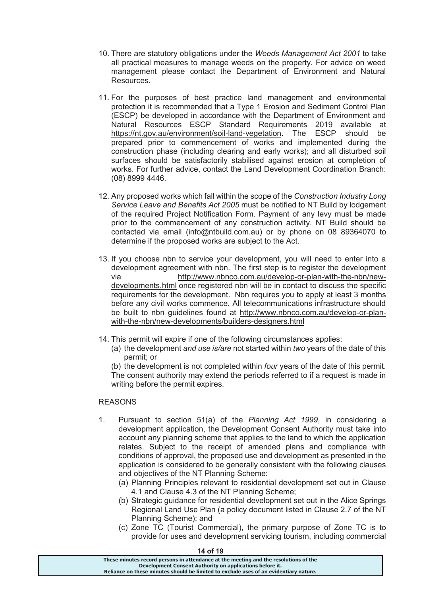- 10. There are statutory obligations under the *Weeds Management Act 2001* to take all practical measures to manage weeds on the property. For advice on weed management please contact the Department of Environment and Natural Resources.
- 11. For the purposes of best practice land management and environmental protection it is recommended that a Type 1 Erosion and Sediment Control Plan (ESCP) be developed in accordance with the Department of Environment and Natural Resources ESCP Standard Requirements 2019 available at https://nt.gov.au/environment/soil-land-vegetation. The ESCP should be prepared prior to commencement of works and implemented during the construction phase (including clearing and early works); and all disturbed soil surfaces should be satisfactorily stabilised against erosion at completion of works. For further advice, contact the Land Development Coordination Branch: (08) 8999 4446.
- 12. Any proposed works which fall within the scope of the *Construction Industry Long Service Leave and Benefits Act 2005* must be notified to NT Build by lodgement of the required Project Notification Form. Payment of any levy must be made prior to the commencement of any construction activity. NT Build should be contacted via email (info@ntbuild.com.au) or by phone on 08 89364070 to determine if the proposed works are subject to the Act.
- 13. If you choose nbn to service your development, you will need to enter into a development agreement with nbn. The first step is to register the development via http://www.nbnco.com.au/develop-or-plan-with-the-nbn/newdevelopments.html once registered nbn will be in contact to discuss the specific requirements for the development. Nbn requires you to apply at least 3 months before any civil works commence. All telecommunications infrastructure should be built to nbn guidelines found at http://www.nbnco.com.au/develop-or-planwith-the-nbn/new-developments/builders-designers.html
- 14. This permit will expire if one of the following circumstances applies:
	- (a) the development *and use is/are* not started within *two* years of the date of this permit; or

(b) the development is not completed within *four* years of the date of this permit. The consent authority may extend the periods referred to if a request is made in writing before the permit expires.

## REASONS

- 1. Pursuant to section 51(a) of the *Planning Act 1999*, in considering a development application, the Development Consent Authority must take into account any planning scheme that applies to the land to which the application relates. Subject to the receipt of amended plans and compliance with conditions of approval, the proposed use and development as presented in the application is considered to be generally consistent with the following clauses and objectives of the NT Planning Scheme:
	- (a) Planning Principles relevant to residential development set out in Clause 4.1 and Clause 4.3 of the NT Planning Scheme;
	- (b) Strategic guidance for residential development set out in the Alice Springs Regional Land Use Plan (a policy document listed in Clause 2.7 of the NT Planning Scheme); and
	- (c) Zone TC (Tourist Commercial), the primary purpose of Zone TC is to provide for uses and development servicing tourism, including commercial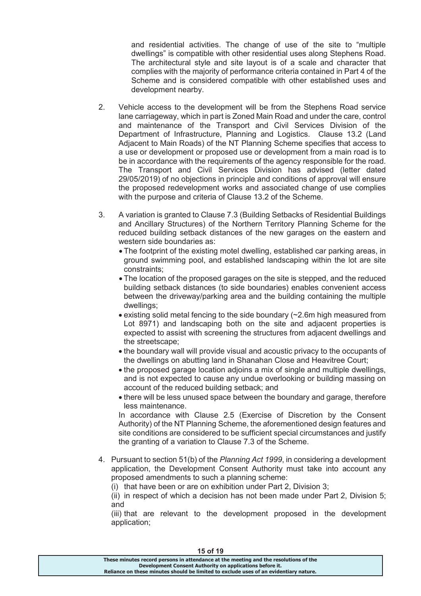and residential activities. The change of use of the site to "multiple dwellings" is compatible with other residential uses along Stephens Road. The architectural style and site layout is of a scale and character that complies with the majority of performance criteria contained in Part 4 of the Scheme and is considered compatible with other established uses and development nearby.

- 2. Vehicle access to the development will be from the Stephens Road service lane carriageway, which in part is Zoned Main Road and under the care, control and maintenance of the Transport and Civil Services Division of the Department of Infrastructure, Planning and Logistics. Clause 13.2 (Land Adjacent to Main Roads) of the NT Planning Scheme specifies that access to a use or development or proposed use or development from a main road is to be in accordance with the requirements of the agency responsible for the road. The Transport and Civil Services Division has advised (letter dated 29/05/2019) of no objections in principle and conditions of approval will ensure the proposed redevelopment works and associated change of use complies with the purpose and criteria of Clause 13.2 of the Scheme.
- 3. A variation is granted to Clause 7.3 (Building Setbacks of Residential Buildings and Ancillary Structures) of the Northern Territory Planning Scheme for the reduced building setback distances of the new garages on the eastern and western side boundaries as:
	- · The footprint of the existing motel dwelling, established car parking areas, in ground swimming pool, and established landscaping within the lot are site constraints;
	- · The location of the proposed garages on the site is stepped, and the reduced building setback distances (to side boundaries) enables convenient access between the driveway/parking area and the building containing the multiple dwellings;
	- · existing solid metal fencing to the side boundary (~2.6m high measured from Lot 8971) and landscaping both on the site and adjacent properties is expected to assist with screening the structures from adjacent dwellings and the streetscape;
	- · the boundary wall will provide visual and acoustic privacy to the occupants of the dwellings on abutting land in Shanahan Close and Heavitree Court;
	- · the proposed garage location adjoins a mix of single and multiple dwellings, and is not expected to cause any undue overlooking or building massing on account of the reduced building setback; and
	- · there will be less unused space between the boundary and garage, therefore less maintenance.

 In accordance with Clause 2.5 (Exercise of Discretion by the Consent Authority) of the NT Planning Scheme, the aforementioned design features and site conditions are considered to be sufficient special circumstances and justify the granting of a variation to Clause 7.3 of the Scheme.

- 4. Pursuant to section 51(b) of the *Planning Act 1999*, in considering a development application, the Development Consent Authority must take into account any proposed amendments to such a planning scheme:
	- (i) that have been or are on exhibition under Part 2, Division 3;

(ii) in respect of which a decision has not been made under Part 2, Division 5; and

(iii) that are relevant to the development proposed in the development application;

| 15 OI 19                                                                              |
|---------------------------------------------------------------------------------------|
| These minutes record persons in attendance at the meeting and the resolutions of the  |
| Development Consent Authority on applications before it.                              |
| Reliance on these minutes should be limited to exclude uses of an evidentiary nature. |
|                                                                                       |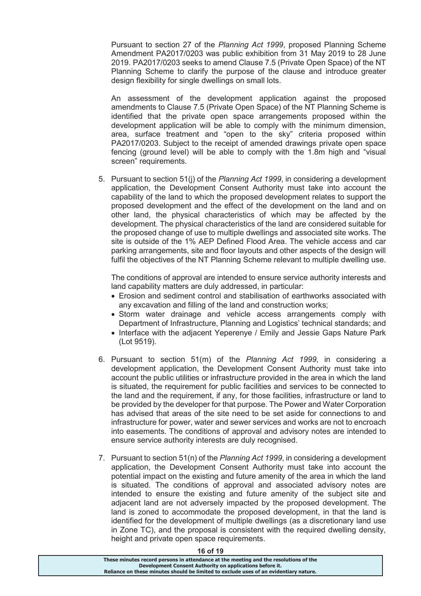Pursuant to section 27 of the *Planning Act 1999*, proposed Planning Scheme Amendment PA2017/0203 was public exhibition from 31 May 2019 to 28 June 2019. PA2017/0203 seeks to amend Clause 7.5 (Private Open Space) of the NT Planning Scheme to clarify the purpose of the clause and introduce greater design flexibility for single dwellings on small lots.

An assessment of the development application against the proposed amendments to Clause 7.5 (Private Open Space) of the NT Planning Scheme is identified that the private open space arrangements proposed within the development application will be able to comply with the minimum dimension, area, surface treatment and "open to the sky" criteria proposed within PA2017/0203. Subject to the receipt of amended drawings private open space fencing (ground level) will be able to comply with the 1.8m high and "visual screen" requirements.

5. Pursuant to section 51(j) of the *Planning Act 1999*, in considering a development application, the Development Consent Authority must take into account the capability of the land to which the proposed development relates to support the proposed development and the effect of the development on the land and on other land, the physical characteristics of which may be affected by the development. The physical characteristics of the land are considered suitable for the proposed change of use to multiple dwellings and associated site works. The site is outside of the 1% AEP Defined Flood Area. The vehicle access and car parking arrangements, site and floor layouts and other aspects of the design will fulfil the objectives of the NT Planning Scheme relevant to multiple dwelling use.

The conditions of approval are intended to ensure service authority interests and land capability matters are duly addressed, in particular:

- · Erosion and sediment control and stabilisation of earthworks associated with any excavation and filling of the land and construction works;
- · Storm water drainage and vehicle access arrangements comply with Department of Infrastructure, Planning and Logistics' technical standards; and
- · Interface with the adjacent Yeperenye / Emily and Jessie Gaps Nature Park (Lot 9519).
- 6. Pursuant to section 51(m) of the *Planning Act 1999*, in considering a development application, the Development Consent Authority must take into account the public utilities or infrastructure provided in the area in which the land is situated, the requirement for public facilities and services to be connected to the land and the requirement, if any, for those facilities, infrastructure or land to be provided by the developer for that purpose. The Power and Water Corporation has advised that areas of the site need to be set aside for connections to and infrastructure for power, water and sewer services and works are not to encroach into easements. The conditions of approval and advisory notes are intended to ensure service authority interests are duly recognised.
- 7. Pursuant to section 51(n) of the *Planning Act 1999*, in considering a development application, the Development Consent Authority must take into account the potential impact on the existing and future amenity of the area in which the land is situated. The conditions of approval and associated advisory notes are intended to ensure the existing and future amenity of the subject site and adjacent land are not adversely impacted by the proposed development. The land is zoned to accommodate the proposed development, in that the land is identified for the development of multiple dwellings (as a discretionary land use in Zone TC), and the proposal is consistent with the required dwelling density, height and private open space requirements.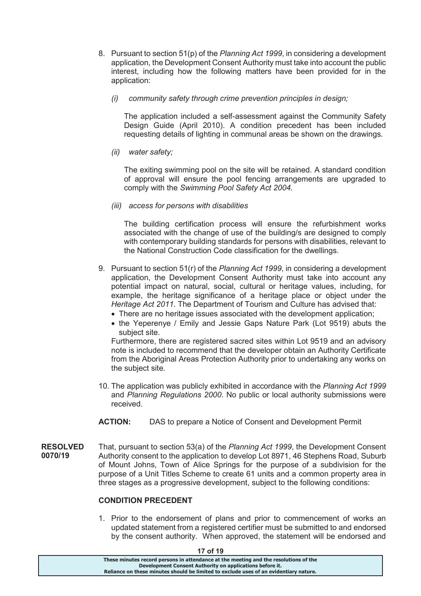- 8. Pursuant to section 51(p) of the *Planning Act 1999*, in considering a development application, the Development Consent Authority must take into account the public interest, including how the following matters have been provided for in the application:
	- *(i) community safety through crime prevention principles in design;*

The application included a self-assessment against the Community Safety Design Guide (April 2010). A condition precedent has been included requesting details of lighting in communal areas be shown on the drawings.

*(ii) water safety;* 

The exiting swimming pool on the site will be retained. A standard condition of approval will ensure the pool fencing arrangements are upgraded to comply with the *Swimming Pool Safety Act 2004.*

*(iii) access for persons with disabilities* 

The building certification process will ensure the refurbishment works associated with the change of use of the building/s are designed to comply with contemporary building standards for persons with disabilities, relevant to the National Construction Code classification for the dwellings.

- 9. Pursuant to section 51(r) of the *Planning Act 1999*, in considering a development application, the Development Consent Authority must take into account any potential impact on natural, social, cultural or heritage values, including, for example, the heritage significance of a heritage place or object under the *Heritage Act 2011*. The Department of Tourism and Culture has advised that:
	- There are no heritage issues associated with the development application;
	- · the Yeperenye / Emily and Jessie Gaps Nature Park (Lot 9519) abuts the subject site.

Furthermore, there are registered sacred sites within Lot 9519 and an advisory note is included to recommend that the developer obtain an Authority Certificate from the Aboriginal Areas Protection Authority prior to undertaking any works on the subject site.

- 10. The application was publicly exhibited in accordance with the *Planning Act 1999*  and *Planning Regulations 2000*. No public or local authority submissions were received.
- **ACTION:** DAS to prepare a Notice of Consent and Development Permit
- **RESOLVED 0070/19**  That, pursuant to section 53(a) of the *Planning Act 1999*, the Development Consent Authority consent to the application to develop Lot 8971, 46 Stephens Road, Suburb of Mount Johns, Town of Alice Springs for the purpose of a subdivision for the purpose of a Unit Titles Scheme to create 61 units and a common property area in three stages as a progressive development, subject to the following conditions:

### **CONDITION PRECEDENT**

1. Prior to the endorsement of plans and prior to commencement of works an updated statement from a registered certifier must be submitted to and endorsed by the consent authority. When approved, the statement will be endorsed and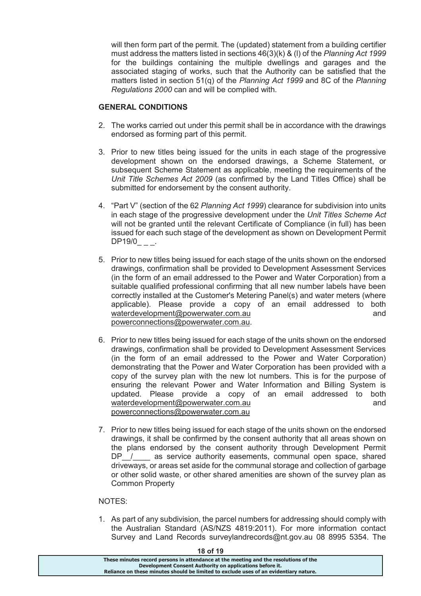will then form part of the permit. The (updated) statement from a building certifier must address the matters listed in sections 46(3)(k) & (l) of the *Planning Act 1999*  for the buildings containing the multiple dwellings and garages and the associated staging of works, such that the Authority can be satisfied that the matters listed in section 51(q) of the *Planning Act 1999* and 8C of the *Planning Regulations 2000* can and will be complied with.

# **GENERAL CONDITIONS**

- 2. The works carried out under this permit shall be in accordance with the drawings endorsed as forming part of this permit.
- 3. Prior to new titles being issued for the units in each stage of the progressive development shown on the endorsed drawings, a Scheme Statement, or subsequent Scheme Statement as applicable, meeting the requirements of the *Unit Title Schemes Act 2009* (as confirmed by the Land Titles Office) shall be submitted for endorsement by the consent authority.
- 4. "Part V" (section of the 62 *Planning Act 1999*) clearance for subdivision into units in each stage of the progressive development under the *Unit Titles Scheme Act* will not be granted until the relevant Certificate of Compliance (in full) has been issued for each such stage of the development as shown on Development Permit DP19/0 .
- 5. Prior to new titles being issued for each stage of the units shown on the endorsed drawings, confirmation shall be provided to Development Assessment Services (in the form of an email addressed to the Power and Water Corporation) from a suitable qualified professional confirming that all new number labels have been correctly installed at the Customer's Metering Panel(s) and water meters (where applicable). Please provide a copy of an email addressed to both waterdevelopment@powerwater.com.au and powerconnections@powerwater.com.au.
- 6. Prior to new titles being issued for each stage of the units shown on the endorsed drawings, confirmation shall be provided to Development Assessment Services (in the form of an email addressed to the Power and Water Corporation) demonstrating that the Power and Water Corporation has been provided with a copy of the survey plan with the new lot numbers. This is for the purpose of ensuring the relevant Power and Water Information and Billing System is updated. Please provide a copy of an email addressed to both waterdevelopment@powerwater.com.au and powerconnections@powerwater.com.au
- 7. Prior to new titles being issued for each stage of the units shown on the endorsed drawings, it shall be confirmed by the consent authority that all areas shown on the plans endorsed by the consent authority through Development Permit DP\_/\_\_\_ as service authority easements, communal open space, shared driveways, or areas set aside for the communal storage and collection of garbage or other solid waste, or other shared amenities are shown of the survey plan as Common Property

## NOTES:

1. As part of any subdivision, the parcel numbers for addressing should comply with the Australian Standard (AS/NZS 4819:2011). For more information contact Survey and Land Records surveylandrecords@nt.gov.au 08 8995 5354. The